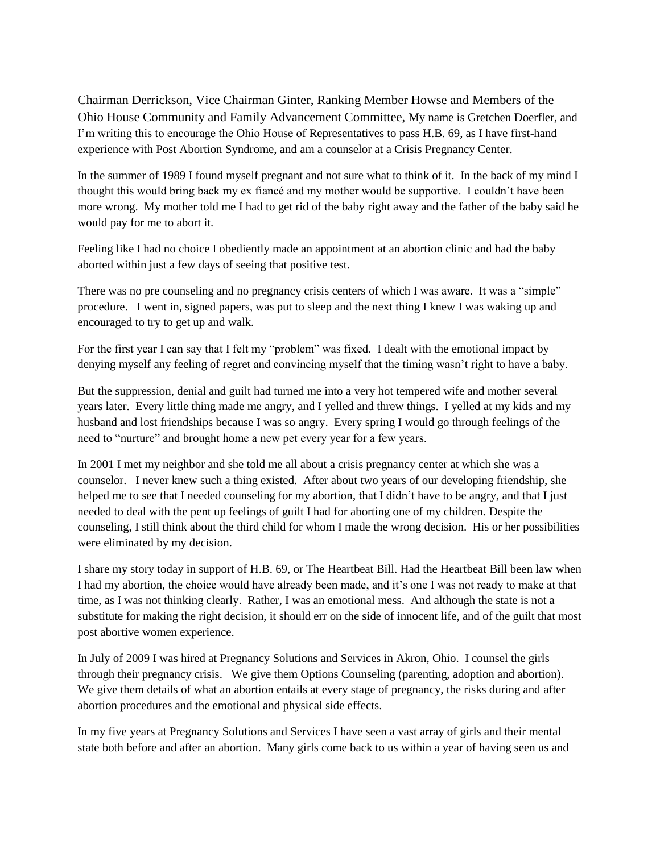Chairman Derrickson, Vice Chairman Ginter, Ranking Member Howse and Members of the Ohio House Community and Family Advancement Committee, My name is Gretchen Doerfler, and I'm writing this to encourage the Ohio House of Representatives to pass H.B. 69, as I have first-hand experience with Post Abortion Syndrome, and am a counselor at a Crisis Pregnancy Center.

In the summer of 1989 I found myself pregnant and not sure what to think of it. In the back of my mind I thought this would bring back my ex fiancé and my mother would be supportive. I couldn't have been more wrong. My mother told me I had to get rid of the baby right away and the father of the baby said he would pay for me to abort it.

Feeling like I had no choice I obediently made an appointment at an abortion clinic and had the baby aborted within just a few days of seeing that positive test.

There was no pre counseling and no pregnancy crisis centers of which I was aware. It was a "simple" procedure. I went in, signed papers, was put to sleep and the next thing I knew I was waking up and encouraged to try to get up and walk.

For the first year I can say that I felt my "problem" was fixed. I dealt with the emotional impact by denying myself any feeling of regret and convincing myself that the timing wasn't right to have a baby.

But the suppression, denial and guilt had turned me into a very hot tempered wife and mother several years later. Every little thing made me angry, and I yelled and threw things. I yelled at my kids and my husband and lost friendships because I was so angry. Every spring I would go through feelings of the need to "nurture" and brought home a new pet every year for a few years.

In 2001 I met my neighbor and she told me all about a crisis pregnancy center at which she was a counselor. I never knew such a thing existed. After about two years of our developing friendship, she helped me to see that I needed counseling for my abortion, that I didn't have to be angry, and that I just needed to deal with the pent up feelings of guilt I had for aborting one of my children. Despite the counseling, I still think about the third child for whom I made the wrong decision. His or her possibilities were eliminated by my decision.

I share my story today in support of H.B. 69, or The Heartbeat Bill. Had the Heartbeat Bill been law when I had my abortion, the choice would have already been made, and it's one I was not ready to make at that time, as I was not thinking clearly. Rather, I was an emotional mess. And although the state is not a substitute for making the right decision, it should err on the side of innocent life, and of the guilt that most post abortive women experience.

In July of 2009 I was hired at Pregnancy Solutions and Services in Akron, Ohio. I counsel the girls through their pregnancy crisis. We give them Options Counseling (parenting, adoption and abortion). We give them details of what an abortion entails at every stage of pregnancy, the risks during and after abortion procedures and the emotional and physical side effects.

In my five years at Pregnancy Solutions and Services I have seen a vast array of girls and their mental state both before and after an abortion. Many girls come back to us within a year of having seen us and